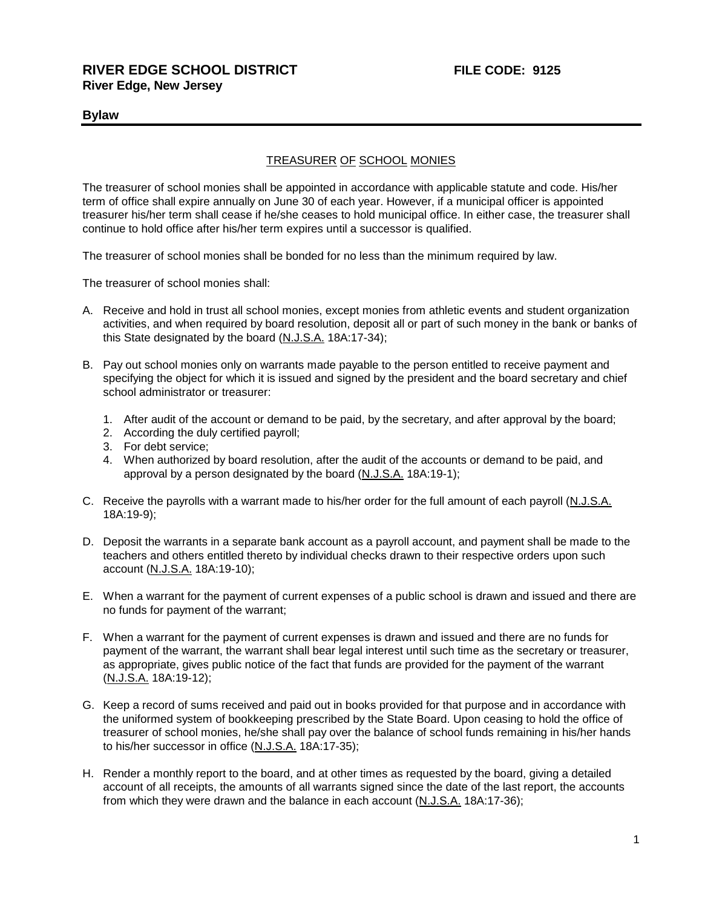## **Bylaw**

## TREASURER OF SCHOOL MONIES

The treasurer of school monies shall be appointed in accordance with applicable statute and code. His/her term of office shall expire annually on June 30 of each year. However, if a municipal officer is appointed treasurer his/her term shall cease if he/she ceases to hold municipal office. In either case, the treasurer shall continue to hold office after his/her term expires until a successor is qualified.

The treasurer of school monies shall be bonded for no less than the minimum required by law.

The treasurer of school monies shall:

- A. Receive and hold in trust all school monies, except monies from athletic events and student organization activities, and when required by board resolution, deposit all or part of such money in the bank or banks of this State designated by the board (N.J.S.A. 18A:17-34);
- B. Pay out school monies only on warrants made payable to the person entitled to receive payment and specifying the object for which it is issued and signed by the president and the board secretary and chief school administrator or treasurer:
	- 1. After audit of the account or demand to be paid, by the secretary, and after approval by the board;
	- 2. According the duly certified payroll;
	- 3. For debt service;
	- 4. When authorized by board resolution, after the audit of the accounts or demand to be paid, and approval by a person designated by the board (N.J.S.A. 18A:19-1);
- C. Receive the payrolls with a warrant made to his/her order for the full amount of each payroll (N.J.S.A. 18A:19-9);
- D. Deposit the warrants in a separate bank account as a payroll account, and payment shall be made to the teachers and others entitled thereto by individual checks drawn to their respective orders upon such account (N.J.S.A. 18A:19-10);
- E. When a warrant for the payment of current expenses of a public school is drawn and issued and there are no funds for payment of the warrant;
- F. When a warrant for the payment of current expenses is drawn and issued and there are no funds for payment of the warrant, the warrant shall bear legal interest until such time as the secretary or treasurer, as appropriate, gives public notice of the fact that funds are provided for the payment of the warrant (N.J.S.A. 18A:19-12);
- G. Keep a record of sums received and paid out in books provided for that purpose and in accordance with the uniformed system of bookkeeping prescribed by the State Board. Upon ceasing to hold the office of treasurer of school monies, he/she shall pay over the balance of school funds remaining in his/her hands to his/her successor in office (N.J.S.A. 18A:17-35);
- H. Render a monthly report to the board, and at other times as requested by the board, giving a detailed account of all receipts, the amounts of all warrants signed since the date of the last report, the accounts from which they were drawn and the balance in each account (N.J.S.A. 18A:17-36);